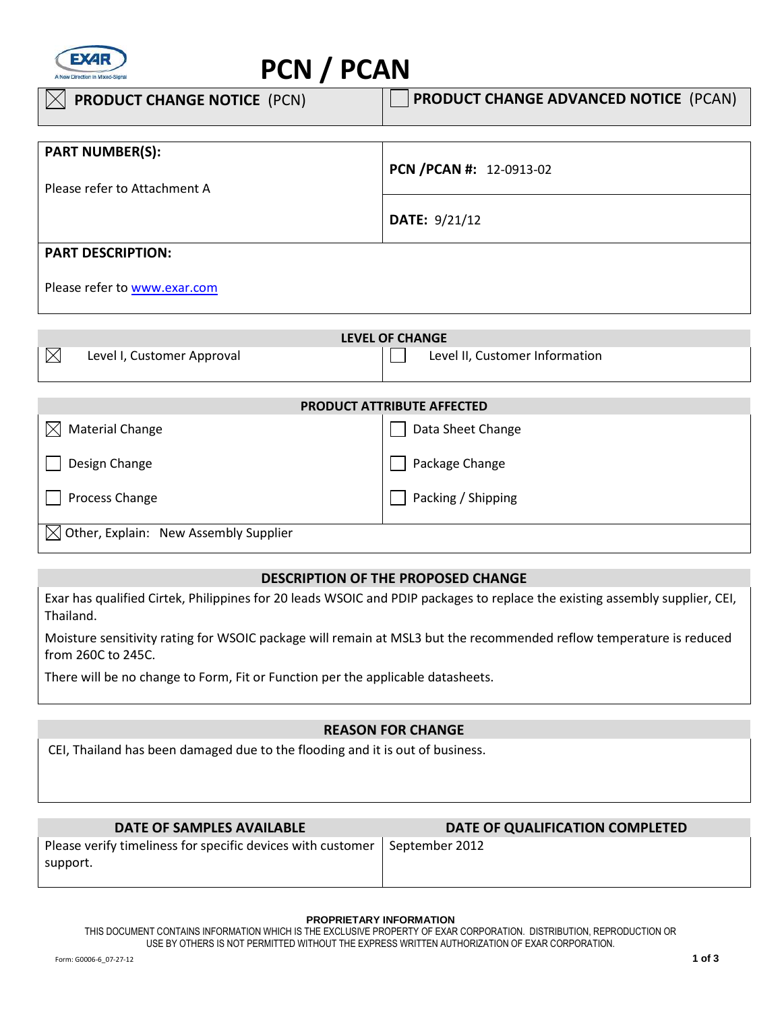

# **PCN / PCAN**

| <b>PRODUCT CHANGE NOTICE (PCN)</b> | <b>PRODUCT CHANGE ADVANCED NOTICE (PCAN)</b> |
|------------------------------------|----------------------------------------------|
|                                    |                                              |
| <b>PART NUMBER(S):</b>             |                                              |
|                                    | PCN / PCAN #: 12-0913-02                     |
| Please refer to Attachment A       |                                              |
|                                    |                                              |
|                                    | <b>DATE: 9/21/12</b>                         |
|                                    |                                              |
| <b>PART DESCRIPTION:</b>           |                                              |
| Please refer to www.exar.com       |                                              |

| LEVEL OF CHANGE |                            |  |                                |
|-----------------|----------------------------|--|--------------------------------|
|                 | Level I, Customer Approval |  | Level II, Customer Information |

| <b>PRODUCT ATTRIBUTE AFFECTED</b>                 |                    |  |  |
|---------------------------------------------------|--------------------|--|--|
| <b>Material Change</b><br>$\bowtie$               | Data Sheet Change  |  |  |
| Design Change                                     | Package Change     |  |  |
| Process Change                                    | Packing / Shipping |  |  |
| $\boxtimes$ Other, Explain: New Assembly Supplier |                    |  |  |

## **DESCRIPTION OF THE PROPOSED CHANGE**

Exar has qualified Cirtek, Philippines for 20 leads WSOIC and PDIP packages to replace the existing assembly supplier, CEI, Thailand.

Moisture sensitivity rating for WSOIC package will remain at MSL3 but the recommended reflow temperature is reduced from 260C to 245C.

There will be no change to Form, Fit or Function per the applicable datasheets.

## **REASON FOR CHANGE**

CEI, Thailand has been damaged due to the flooding and it is out of business.

| DATE OF QUALIFICATION COMPLETED                                              |  |
|------------------------------------------------------------------------------|--|
| Please verify timeliness for specific devices with customer   September 2012 |  |
|                                                                              |  |

### **PROPRIETARY INFORMATION**

THIS DOCUMENT CONTAINS INFORMATION WHICH IS THE EXCLUSIVE PROPERTY OF EXAR CORPORATION. DISTRIBUTION, REPRODUCTION OR USE BY OTHERS IS NOT PERMITTED WITHOUT THE EXPRESS WRITTEN AUTHORIZATION OF EXAR CORPORATION.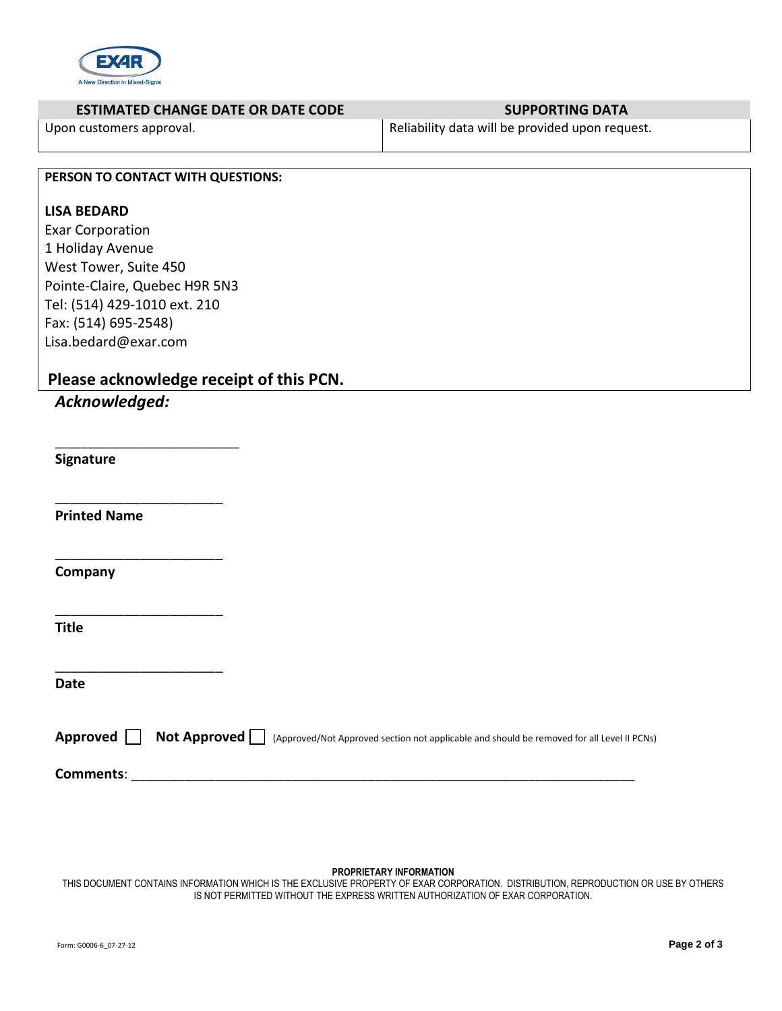

| Reliability data will be provided upon request.<br>Upon customers approval.<br>PERSON TO CONTACT WITH QUESTIONS:<br><b>LISA BEDARD</b><br><b>Exar Corporation</b><br>1 Holiday Avenue<br>West Tower, Suite 450<br>Pointe-Claire, Quebec H9R 5N3<br>Tel: (514) 429-1010 ext. 210<br>Fax: (514) 695-2548)<br>Lisa.bedard@exar.com<br>Please acknowledge receipt of this PCN.<br>Acknowledged:<br>Signature<br><b>Printed Name</b><br>Company<br><b>Title</b><br><b>Date</b><br>Approved $\Box$<br><b>Not Approved</b> $\Box$ (Approved/Not Approved section not applicable and should be removed for all Level II PCNs) | <b>ESTIMATED CHANGE DATE OR DATE CODE</b> | <b>SUPPORTING DATA</b> |
|-----------------------------------------------------------------------------------------------------------------------------------------------------------------------------------------------------------------------------------------------------------------------------------------------------------------------------------------------------------------------------------------------------------------------------------------------------------------------------------------------------------------------------------------------------------------------------------------------------------------------|-------------------------------------------|------------------------|
|                                                                                                                                                                                                                                                                                                                                                                                                                                                                                                                                                                                                                       |                                           |                        |
|                                                                                                                                                                                                                                                                                                                                                                                                                                                                                                                                                                                                                       |                                           |                        |
|                                                                                                                                                                                                                                                                                                                                                                                                                                                                                                                                                                                                                       |                                           |                        |
|                                                                                                                                                                                                                                                                                                                                                                                                                                                                                                                                                                                                                       |                                           |                        |
|                                                                                                                                                                                                                                                                                                                                                                                                                                                                                                                                                                                                                       |                                           |                        |
|                                                                                                                                                                                                                                                                                                                                                                                                                                                                                                                                                                                                                       |                                           |                        |
|                                                                                                                                                                                                                                                                                                                                                                                                                                                                                                                                                                                                                       |                                           |                        |
|                                                                                                                                                                                                                                                                                                                                                                                                                                                                                                                                                                                                                       |                                           |                        |
|                                                                                                                                                                                                                                                                                                                                                                                                                                                                                                                                                                                                                       |                                           |                        |
|                                                                                                                                                                                                                                                                                                                                                                                                                                                                                                                                                                                                                       |                                           |                        |
|                                                                                                                                                                                                                                                                                                                                                                                                                                                                                                                                                                                                                       |                                           |                        |
|                                                                                                                                                                                                                                                                                                                                                                                                                                                                                                                                                                                                                       |                                           |                        |
|                                                                                                                                                                                                                                                                                                                                                                                                                                                                                                                                                                                                                       |                                           |                        |
|                                                                                                                                                                                                                                                                                                                                                                                                                                                                                                                                                                                                                       |                                           |                        |
|                                                                                                                                                                                                                                                                                                                                                                                                                                                                                                                                                                                                                       |                                           |                        |
|                                                                                                                                                                                                                                                                                                                                                                                                                                                                                                                                                                                                                       |                                           |                        |
|                                                                                                                                                                                                                                                                                                                                                                                                                                                                                                                                                                                                                       |                                           |                        |
|                                                                                                                                                                                                                                                                                                                                                                                                                                                                                                                                                                                                                       |                                           |                        |
|                                                                                                                                                                                                                                                                                                                                                                                                                                                                                                                                                                                                                       |                                           |                        |
|                                                                                                                                                                                                                                                                                                                                                                                                                                                                                                                                                                                                                       |                                           |                        |
|                                                                                                                                                                                                                                                                                                                                                                                                                                                                                                                                                                                                                       |                                           |                        |
|                                                                                                                                                                                                                                                                                                                                                                                                                                                                                                                                                                                                                       |                                           |                        |
|                                                                                                                                                                                                                                                                                                                                                                                                                                                                                                                                                                                                                       |                                           |                        |
|                                                                                                                                                                                                                                                                                                                                                                                                                                                                                                                                                                                                                       |                                           |                        |
|                                                                                                                                                                                                                                                                                                                                                                                                                                                                                                                                                                                                                       |                                           |                        |
|                                                                                                                                                                                                                                                                                                                                                                                                                                                                                                                                                                                                                       |                                           |                        |
|                                                                                                                                                                                                                                                                                                                                                                                                                                                                                                                                                                                                                       |                                           |                        |
|                                                                                                                                                                                                                                                                                                                                                                                                                                                                                                                                                                                                                       |                                           |                        |
|                                                                                                                                                                                                                                                                                                                                                                                                                                                                                                                                                                                                                       |                                           |                        |
|                                                                                                                                                                                                                                                                                                                                                                                                                                                                                                                                                                                                                       |                                           |                        |
|                                                                                                                                                                                                                                                                                                                                                                                                                                                                                                                                                                                                                       |                                           |                        |
|                                                                                                                                                                                                                                                                                                                                                                                                                                                                                                                                                                                                                       |                                           |                        |
|                                                                                                                                                                                                                                                                                                                                                                                                                                                                                                                                                                                                                       |                                           |                        |
|                                                                                                                                                                                                                                                                                                                                                                                                                                                                                                                                                                                                                       |                                           |                        |
|                                                                                                                                                                                                                                                                                                                                                                                                                                                                                                                                                                                                                       |                                           |                        |
|                                                                                                                                                                                                                                                                                                                                                                                                                                                                                                                                                                                                                       |                                           |                        |
|                                                                                                                                                                                                                                                                                                                                                                                                                                                                                                                                                                                                                       |                                           |                        |
|                                                                                                                                                                                                                                                                                                                                                                                                                                                                                                                                                                                                                       |                                           |                        |

#### **PROPRIETARY INFORMATION**

THIS DOCUMENT CONTAINS INFORMATION WHICH IS THE EXCLUSIVE PROPERTY OF EXAR CORPORATION. DISTRIBUTION, REPRODUCTION OR USE BY OTHERS IS NOT PERMITTED WITHOUT THE EXPRESS WRITTEN AUTHORIZATION OF EXAR CORPORATION.